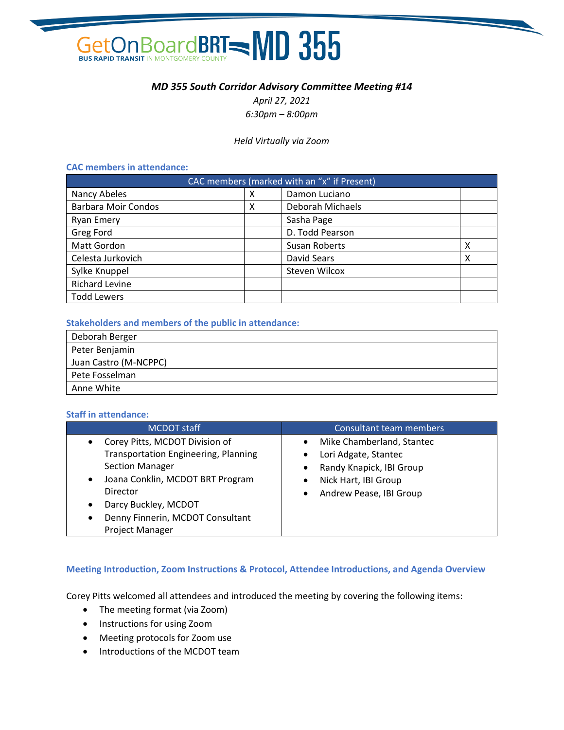

# *MD 355 South Corridor Advisory Committee Meeting #14*

*April 27, 2021 6:30pm – 8:00pm*

## *Held Virtually via Zoom*

## **CAC members in attendance:**

| CAC members (marked with an "x" if Present) |   |                  |   |
|---------------------------------------------|---|------------------|---|
| Nancy Abeles                                | х | Damon Luciano    |   |
| <b>Barbara Moir Condos</b>                  | Χ | Deborah Michaels |   |
| <b>Ryan Emery</b>                           |   | Sasha Page       |   |
| Greg Ford                                   |   | D. Todd Pearson  |   |
| Matt Gordon                                 |   | Susan Roberts    | X |
| Celesta Jurkovich                           |   | David Sears      | x |
| Sylke Knuppel                               |   | Steven Wilcox    |   |
| <b>Richard Levine</b>                       |   |                  |   |
| <b>Todd Lewers</b>                          |   |                  |   |

## **Stakeholders and members of the public in attendance:**

| Deborah Berger        |
|-----------------------|
| Peter Benjamin        |
| Juan Castro (M-NCPPC) |
| Pete Fosselman        |
| Anne White            |

### **Staff in attendance:**

| MCDOT staff                                                                                                                                                                                                                                                                                | Consultant team members                                                                                                                                 |
|--------------------------------------------------------------------------------------------------------------------------------------------------------------------------------------------------------------------------------------------------------------------------------------------|---------------------------------------------------------------------------------------------------------------------------------------------------------|
| Corey Pitts, MCDOT Division of<br>$\bullet$<br><b>Transportation Engineering, Planning</b><br><b>Section Manager</b><br>Joana Conklin, MCDOT BRT Program<br>$\bullet$<br>Director<br>Darcy Buckley, MCDOT<br>$\bullet$<br>Denny Finnerin, MCDOT Consultant<br>$\bullet$<br>Project Manager | Mike Chamberland, Stantec<br>Lori Adgate, Stantec<br>٠<br>Randy Knapick, IBI Group<br>Nick Hart, IBI Group<br>٠<br>Andrew Pease, IBI Group<br>$\bullet$ |

# **Meeting Introduction, Zoom Instructions & Protocol, Attendee Introductions, and Agenda Overview**

Corey Pitts welcomed all attendees and introduced the meeting by covering the following items:

- The meeting format (via Zoom)
- Instructions for using Zoom
- Meeting protocols for Zoom use
- Introductions of the MCDOT team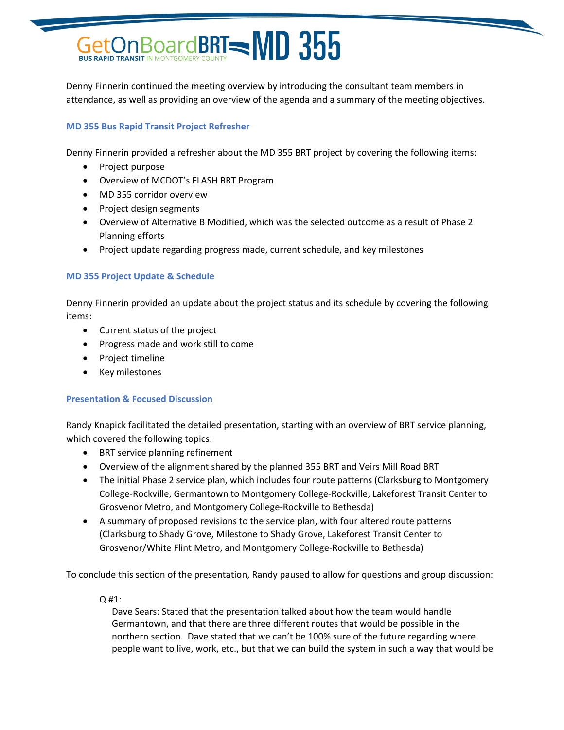# GetOn Board BRT - MD 355

Denny Finnerin continued the meeting overview by introducing the consultant team members in attendance, as well as providing an overview of the agenda and a summary of the meeting objectives.

# **MD 355 Bus Rapid Transit Project Refresher**

Denny Finnerin provided a refresher about the MD 355 BRT project by covering the following items:

- Project purpose
- Overview of MCDOT's FLASH BRT Program
- MD 355 corridor overview
- Project design segments
- Overview of Alternative B Modified, which was the selected outcome as a result of Phase 2 Planning efforts
- Project update regarding progress made, current schedule, and key milestones

# **MD 355 Project Update & Schedule**

Denny Finnerin provided an update about the project status and its schedule by covering the following items:

- Current status of the project
- Progress made and work still to come
- Project timeline
- Key milestones

# **Presentation & Focused Discussion**

Randy Knapick facilitated the detailed presentation, starting with an overview of BRT service planning, which covered the following topics:

- BRT service planning refinement
- Overview of the alignment shared by the planned 355 BRT and Veirs Mill Road BRT
- The initial Phase 2 service plan, which includes four route patterns (Clarksburg to Montgomery College-Rockville, Germantown to Montgomery College-Rockville, Lakeforest Transit Center to Grosvenor Metro, and Montgomery College-Rockville to Bethesda)
- A summary of proposed revisions to the service plan, with four altered route patterns (Clarksburg to Shady Grove, Milestone to Shady Grove, Lakeforest Transit Center to Grosvenor/White Flint Metro, and Montgomery College-Rockville to Bethesda)

To conclude this section of the presentation, Randy paused to allow for questions and group discussion:

Q #1:

Dave Sears: Stated that the presentation talked about how the team would handle Germantown, and that there are three different routes that would be possible in the northern section. Dave stated that we can't be 100% sure of the future regarding where people want to live, work, etc., but that we can build the system in such a way that would be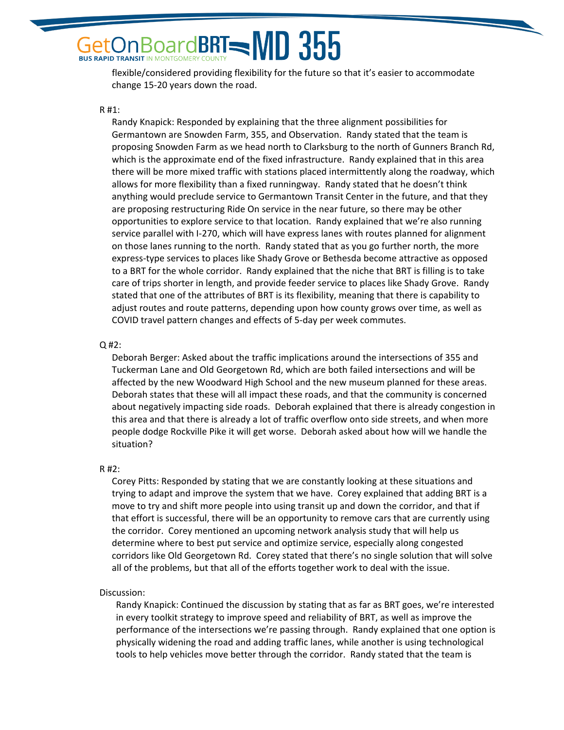# BoardBRT=MD 355 **BUS RAPID TRANSIT IN MONTGOMERY COUNTY**

flexible/considered providing flexibility for the future so that it's easier to accommodate change 15-20 years down the road.

#### R #1:

Randy Knapick: Responded by explaining that the three alignment possibilities for Germantown are Snowden Farm, 355, and Observation. Randy stated that the team is proposing Snowden Farm as we head north to Clarksburg to the north of Gunners Branch Rd, which is the approximate end of the fixed infrastructure. Randy explained that in this area there will be more mixed traffic with stations placed intermittently along the roadway, which allows for more flexibility than a fixed runningway. Randy stated that he doesn't think anything would preclude service to Germantown Transit Center in the future, and that they are proposing restructuring Ride On service in the near future, so there may be other opportunities to explore service to that location. Randy explained that we're also running service parallel with I-270, which will have express lanes with routes planned for alignment on those lanes running to the north. Randy stated that as you go further north, the more express-type services to places like Shady Grove or Bethesda become attractive as opposed to a BRT for the whole corridor. Randy explained that the niche that BRT is filling is to take care of trips shorter in length, and provide feeder service to places like Shady Grove. Randy stated that one of the attributes of BRT is its flexibility, meaning that there is capability to adjust routes and route patterns, depending upon how county grows over time, as well as COVID travel pattern changes and effects of 5-day per week commutes.

#### Q #2:

Deborah Berger: Asked about the traffic implications around the intersections of 355 and Tuckerman Lane and Old Georgetown Rd, which are both failed intersections and will be affected by the new Woodward High School and the new museum planned for these areas. Deborah states that these will all impact these roads, and that the community is concerned about negatively impacting side roads. Deborah explained that there is already congestion in this area and that there is already a lot of traffic overflow onto side streets, and when more people dodge Rockville Pike it will get worse. Deborah asked about how will we handle the situation?

#### R #2:

Corey Pitts: Responded by stating that we are constantly looking at these situations and trying to adapt and improve the system that we have. Corey explained that adding BRT is a move to try and shift more people into using transit up and down the corridor, and that if that effort is successful, there will be an opportunity to remove cars that are currently using the corridor. Corey mentioned an upcoming network analysis study that will help us determine where to best put service and optimize service, especially along congested corridors like Old Georgetown Rd. Corey stated that there's no single solution that will solve all of the problems, but that all of the efforts together work to deal with the issue.

#### Discussion:

Randy Knapick: Continued the discussion by stating that as far as BRT goes, we're interested in every toolkit strategy to improve speed and reliability of BRT, as well as improve the performance of the intersections we're passing through. Randy explained that one option is physically widening the road and adding traffic lanes, while another is using technological tools to help vehicles move better through the corridor. Randy stated that the team is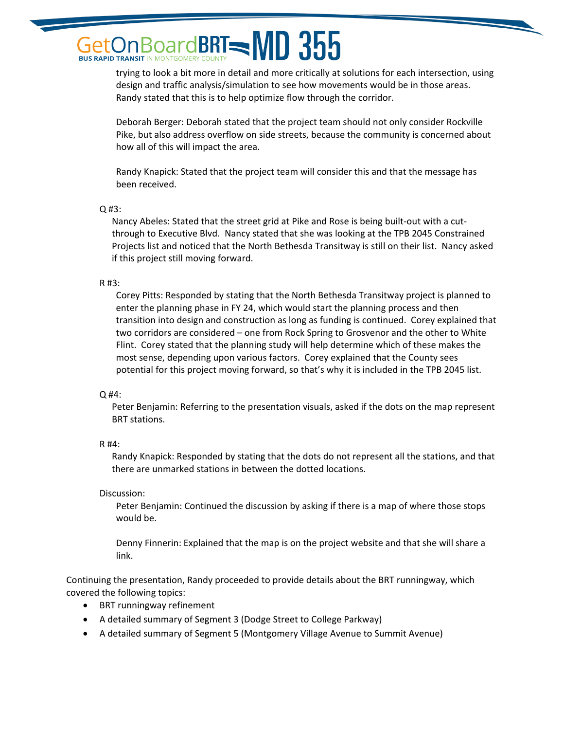# $\beta$ oard**BRT** $=$ **MD 355 BUS RAPID TRANSIT IN MONTGOMERY COUNTY**

trying to look a bit more in detail and more critically at solutions for each intersection, using design and traffic analysis/simulation to see how movements would be in those areas. Randy stated that this is to help optimize flow through the corridor.

Deborah Berger: Deborah stated that the project team should not only consider Rockville Pike, but also address overflow on side streets, because the community is concerned about how all of this will impact the area.

Randy Knapick: Stated that the project team will consider this and that the message has been received.

# Q #3:

Nancy Abeles: Stated that the street grid at Pike and Rose is being built-out with a cutthrough to Executive Blvd. Nancy stated that she was looking at the TPB 2045 Constrained Projects list and noticed that the North Bethesda Transitway is still on their list. Nancy asked if this project still moving forward.

# R #3:

Corey Pitts: Responded by stating that the North Bethesda Transitway project is planned to enter the planning phase in FY 24, which would start the planning process and then transition into design and construction as long as funding is continued. Corey explained that two corridors are considered – one from Rock Spring to Grosvenor and the other to White Flint. Corey stated that the planning study will help determine which of these makes the most sense, depending upon various factors. Corey explained that the County sees potential for this project moving forward, so that's why it is included in the TPB 2045 list.

# $Q$ #4:

Peter Benjamin: Referring to the presentation visuals, asked if the dots on the map represent BRT stations.

# R #4:

Randy Knapick: Responded by stating that the dots do not represent all the stations, and that there are unmarked stations in between the dotted locations.

# Discussion:

Peter Benjamin: Continued the discussion by asking if there is a map of where those stops would be.

Denny Finnerin: Explained that the map is on the project website and that she will share a link.

Continuing the presentation, Randy proceeded to provide details about the BRT runningway, which covered the following topics:

- BRT runningway refinement
- A detailed summary of Segment 3 (Dodge Street to College Parkway)
- A detailed summary of Segment 5 (Montgomery Village Avenue to Summit Avenue)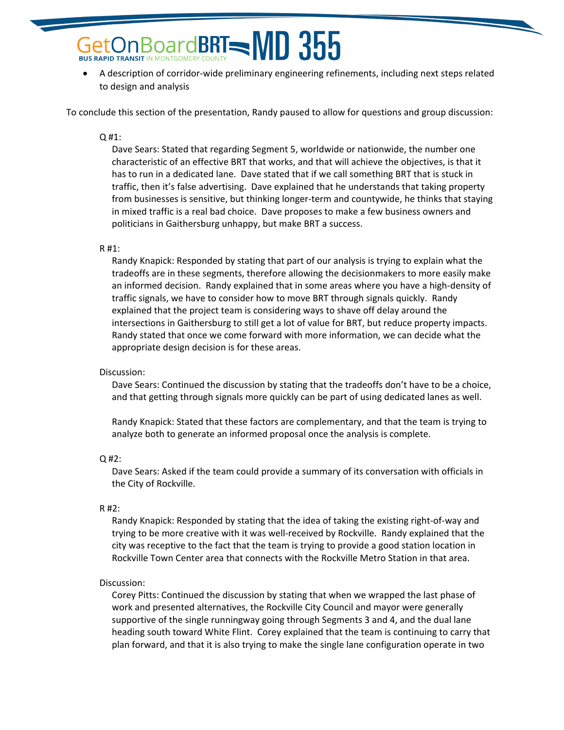# BoardBRT=MD 355 **BUS RAPID TRANSIT IN MONTGOMERY COUNTY**

• A description of corridor-wide preliminary engineering refinements, including next steps related to design and analysis

To conclude this section of the presentation, Randy paused to allow for questions and group discussion:

## Q #1:

Dave Sears: Stated that regarding Segment 5, worldwide or nationwide, the number one characteristic of an effective BRT that works, and that will achieve the objectives, is that it has to run in a dedicated lane. Dave stated that if we call something BRT that is stuck in traffic, then it's false advertising. Dave explained that he understands that taking property from businesses is sensitive, but thinking longer-term and countywide, he thinks that staying in mixed traffic is a real bad choice. Dave proposes to make a few business owners and politicians in Gaithersburg unhappy, but make BRT a success.

### R #1:

Randy Knapick: Responded by stating that part of our analysis is trying to explain what the tradeoffs are in these segments, therefore allowing the decisionmakers to more easily make an informed decision. Randy explained that in some areas where you have a high-density of traffic signals, we have to consider how to move BRT through signals quickly. Randy explained that the project team is considering ways to shave off delay around the intersections in Gaithersburg to still get a lot of value for BRT, but reduce property impacts. Randy stated that once we come forward with more information, we can decide what the appropriate design decision is for these areas.

# Discussion:

Dave Sears: Continued the discussion by stating that the tradeoffs don't have to be a choice, and that getting through signals more quickly can be part of using dedicated lanes as well.

Randy Knapick: Stated that these factors are complementary, and that the team is trying to analyze both to generate an informed proposal once the analysis is complete.

# Q #2:

Dave Sears: Asked if the team could provide a summary of its conversation with officials in the City of Rockville.

# R #2:

Randy Knapick: Responded by stating that the idea of taking the existing right-of-way and trying to be more creative with it was well-received by Rockville. Randy explained that the city was receptive to the fact that the team is trying to provide a good station location in Rockville Town Center area that connects with the Rockville Metro Station in that area.

# Discussion:

Corey Pitts: Continued the discussion by stating that when we wrapped the last phase of work and presented alternatives, the Rockville City Council and mayor were generally supportive of the single runningway going through Segments 3 and 4, and the dual lane heading south toward White Flint. Corey explained that the team is continuing to carry that plan forward, and that it is also trying to make the single lane configuration operate in two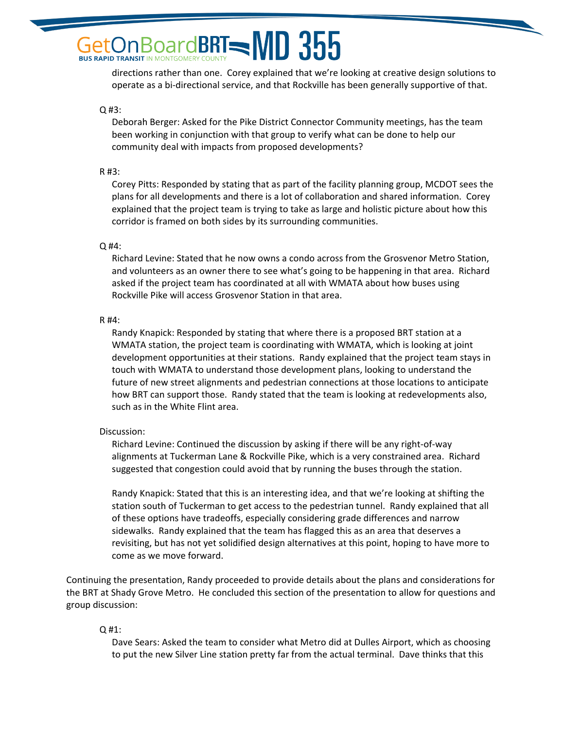# $\beta$ oardBRT $=$ MD 355 **BUS RAPID TRANSIT IN MONTGOMERY COUNTY**

directions rather than one. Corey explained that we're looking at creative design solutions to operate as a bi-directional service, and that Rockville has been generally supportive of that.

Q #3:

Deborah Berger: Asked for the Pike District Connector Community meetings, has the team been working in conjunction with that group to verify what can be done to help our community deal with impacts from proposed developments?

R #3:

Corey Pitts: Responded by stating that as part of the facility planning group, MCDOT sees the plans for all developments and there is a lot of collaboration and shared information. Corey explained that the project team is trying to take as large and holistic picture about how this corridor is framed on both sides by its surrounding communities.

Q #4:

Richard Levine: Stated that he now owns a condo across from the Grosvenor Metro Station, and volunteers as an owner there to see what's going to be happening in that area. Richard asked if the project team has coordinated at all with WMATA about how buses using Rockville Pike will access Grosvenor Station in that area.

R #4:

Randy Knapick: Responded by stating that where there is a proposed BRT station at a WMATA station, the project team is coordinating with WMATA, which is looking at joint development opportunities at their stations. Randy explained that the project team stays in touch with WMATA to understand those development plans, looking to understand the future of new street alignments and pedestrian connections at those locations to anticipate how BRT can support those. Randy stated that the team is looking at redevelopments also, such as in the White Flint area.

# Discussion:

Richard Levine: Continued the discussion by asking if there will be any right-of-way alignments at Tuckerman Lane & Rockville Pike, which is a very constrained area. Richard suggested that congestion could avoid that by running the buses through the station.

Randy Knapick: Stated that this is an interesting idea, and that we're looking at shifting the station south of Tuckerman to get access to the pedestrian tunnel. Randy explained that all of these options have tradeoffs, especially considering grade differences and narrow sidewalks. Randy explained that the team has flagged this as an area that deserves a revisiting, but has not yet solidified design alternatives at this point, hoping to have more to come as we move forward.

Continuing the presentation, Randy proceeded to provide details about the plans and considerations for the BRT at Shady Grove Metro. He concluded this section of the presentation to allow for questions and group discussion:

Q #1:

Dave Sears: Asked the team to consider what Metro did at Dulles Airport, which as choosing to put the new Silver Line station pretty far from the actual terminal. Dave thinks that this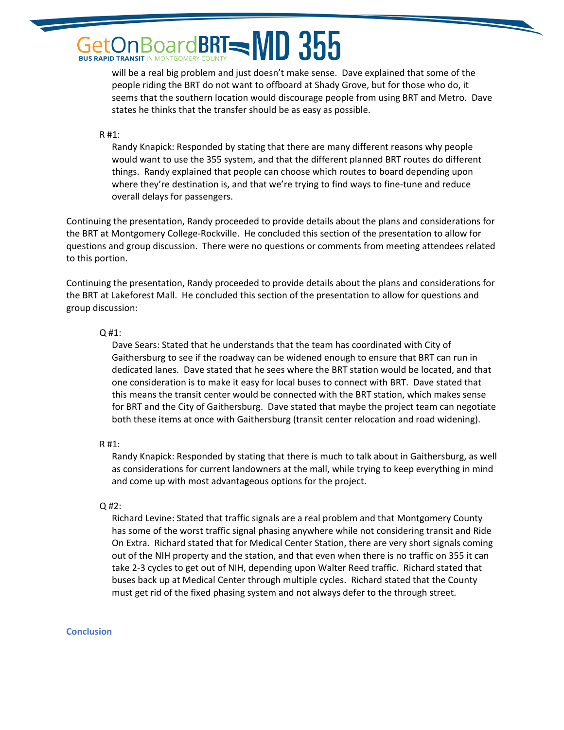# $3$ oard**BRT** $=$ **MD 355 BUS RAPID TRANSIT IN MONTGOMERY COUNTY**

will be a real big problem and just doesn't make sense. Dave explained that some of the people riding the BRT do not want to offboard at Shady Grove, but for those who do, it seems that the southern location would discourage people from using BRT and Metro. Dave states he thinks that the transfer should be as easy as possible.

## R #1:

Randy Knapick: Responded by stating that there are many different reasons why people would want to use the 355 system, and that the different planned BRT routes do different things. Randy explained that people can choose which routes to board depending upon where they're destination is, and that we're trying to find ways to fine-tune and reduce overall delays for passengers.

Continuing the presentation, Randy proceeded to provide details about the plans and considerations for the BRT at Montgomery College-Rockville. He concluded this section of the presentation to allow for questions and group discussion. There were no questions or comments from meeting attendees related to this portion.

Continuing the presentation, Randy proceeded to provide details about the plans and considerations for the BRT at Lakeforest Mall. He concluded this section of the presentation to allow for questions and group discussion:

# $Q#1$ :

Dave Sears: Stated that he understands that the team has coordinated with City of Gaithersburg to see if the roadway can be widened enough to ensure that BRT can run in dedicated lanes. Dave stated that he sees where the BRT station would be located, and that one consideration is to make it easy for local buses to connect with BRT. Dave stated that this means the transit center would be connected with the BRT station, which makes sense for BRT and the City of Gaithersburg. Dave stated that maybe the project team can negotiate both these items at once with Gaithersburg (transit center relocation and road widening).

# R #1:

Randy Knapick: Responded by stating that there is much to talk about in Gaithersburg, as well as considerations for current landowners at the mall, while trying to keep everything in mind and come up with most advantageous options for the project.

# Q #2:

Richard Levine: Stated that traffic signals are a real problem and that Montgomery County has some of the worst traffic signal phasing anywhere while not considering transit and Ride On Extra. Richard stated that for Medical Center Station, there are very short signals coming out of the NIH property and the station, and that even when there is no traffic on 355 it can take 2-3 cycles to get out of NIH, depending upon Walter Reed traffic. Richard stated that buses back up at Medical Center through multiple cycles. Richard stated that the County must get rid of the fixed phasing system and not always defer to the through street.

# **Conclusion**